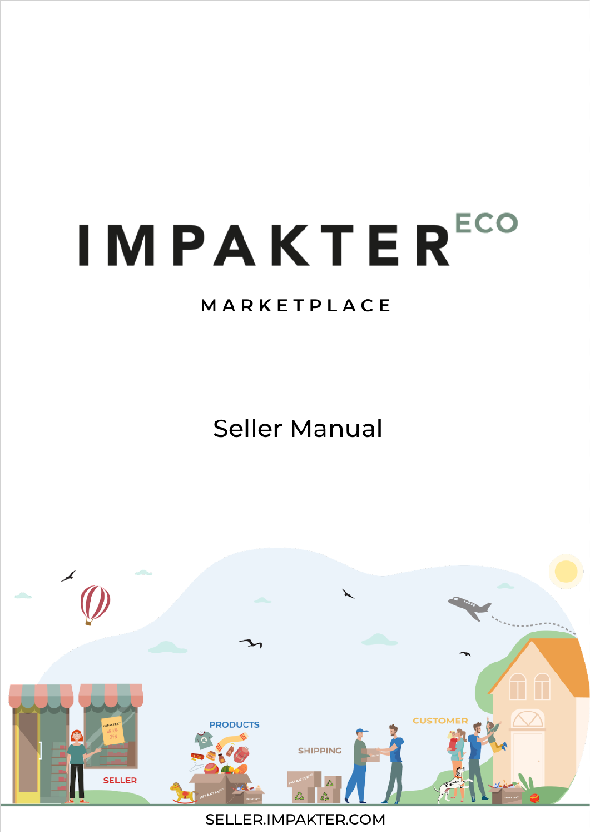# **IMPAKTERECO**

## MARKETPLACE

**Seller Manual** 



SELLER.IMPAKTER.COM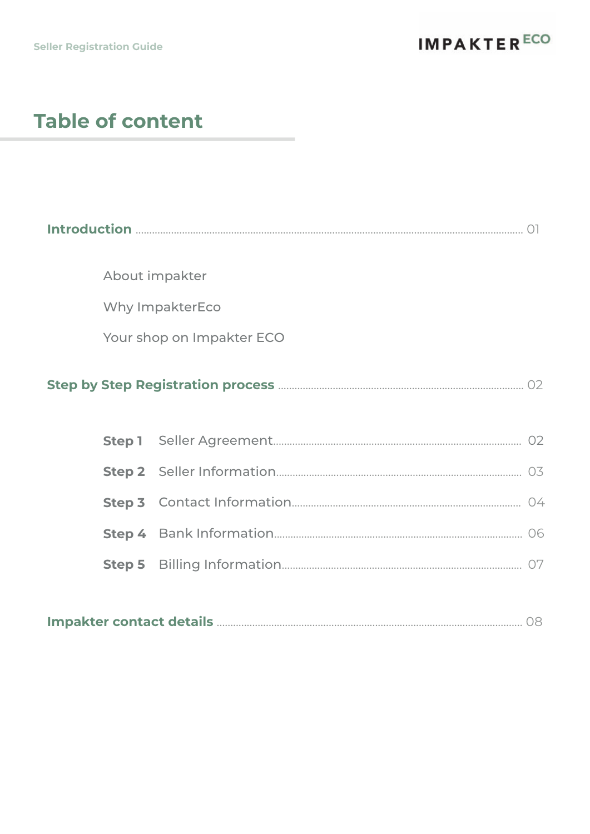# **Table of content**

| About impakter            |  |  |  |
|---------------------------|--|--|--|
| Why ImpakterEco           |  |  |  |
| Your shop on Impakter ECO |  |  |  |
|                           |  |  |  |
|                           |  |  |  |
|                           |  |  |  |
|                           |  |  |  |
|                           |  |  |  |
|                           |  |  |  |
|                           |  |  |  |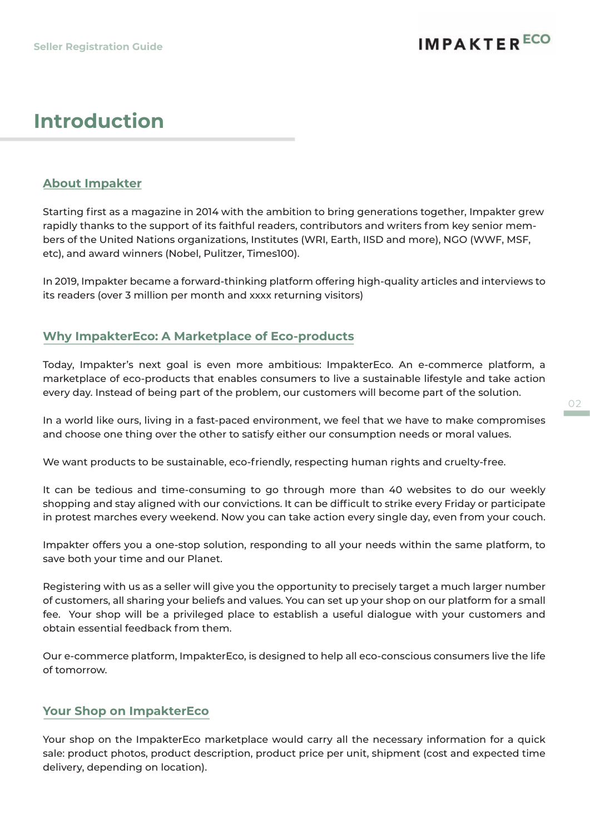## **IMPAKTERECO**

## **Introduction**

#### **About Impakter**

Starting first as a magazine in 2014 with the ambition to bring generations together, Impakter grew rapidly thanks to the support of its faithful readers, contributors and writers from key senior members of the United Nations organizations, Institutes (WRI, Earth, IISD and more), NGO (WWF, MSF, etc), and award winners (Nobel, Pulitzer, Times100).

In 2019, Impakter became a forward-thinking platform offering high-quality articles and interviews to its readers (over 3 million per month and xxxx returning visitors)

#### **Why ImpakterEco: A Marketplace of Eco-products**

Today, Impakter's next goal is even more ambitious: ImpakterEco. An e-commerce platform, a marketplace of eco-products that enables consumers to live a sustainable lifestyle and take action every day. Instead of being part of the problem, our customers will become part of the solution.

In a world like ours, living in a fast-paced environment, we feel that we have to make compromises and choose one thing over the other to satisfy either our consumption needs or moral values.

We want products to be sustainable, eco-friendly, respecting human rights and cruelty-free.

It can be tedious and time-consuming to go through more than 40 websites to do our weekly shopping and stay aligned with our convictions. It can be difficult to strike every Friday or participate in protest marches every weekend. Now you can take action every single day, even from your couch.

Impakter offers you a one-stop solution, responding to all your needs within the same platform, to save both your time and our Planet.

Registering with us as a seller will give you the opportunity to precisely target a much larger number of customers, all sharing your beliefs and values. You can set up your shop on our platform for a small fee. Your shop will be a privileged place to establish a useful dialogue with your customers and obtain essential feedback from them.

Our e-commerce platform, ImpakterEco, is designed to help all eco-conscious consumers live the life of tomorrow.

#### **Your Shop on ImpakterEco**

Your shop on the ImpakterEco marketplace would carry all the necessary information for a quick sale: product photos, product description, product price per unit, shipment (cost and expected time delivery, depending on location).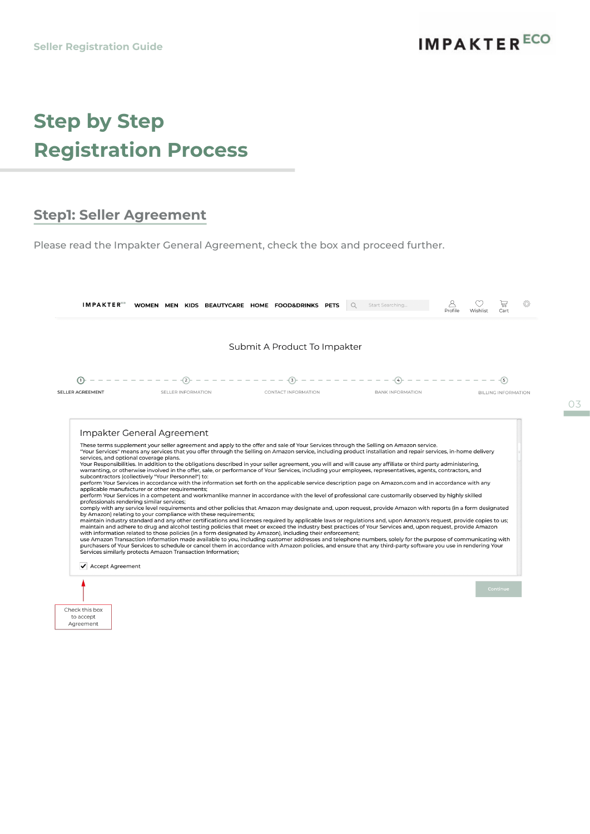# **Step by Step Registration Process**

### **Step1: Seller Agreement**

Please read the Impakter General Agreement, check the box and proceed further.

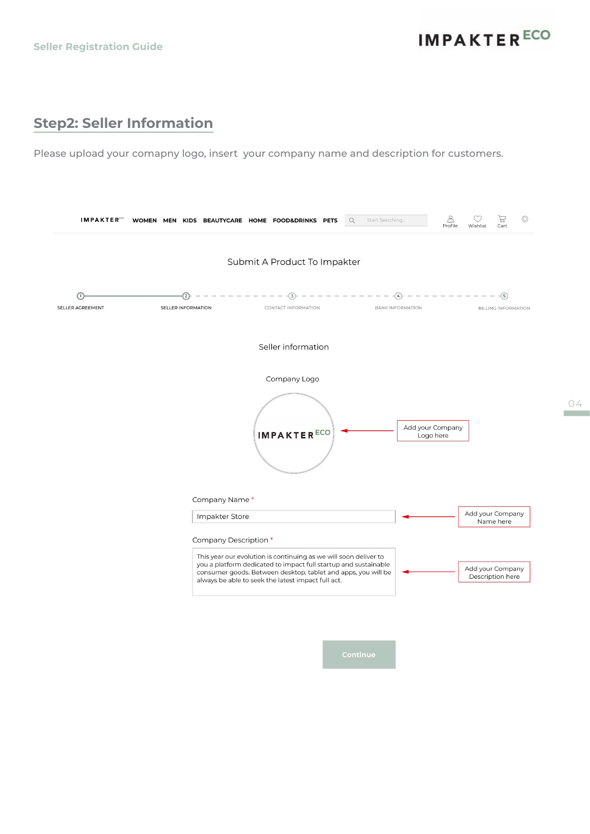04

## **Step2: Seller Information**

Please upload your comapny logo, insert your company name and description for customers.

| <b>IMPAKTER</b>  | WOMEN MEN                       | KIDS BEAUTYCARE HOME FOOD&DRINKS PETS                                                                                                                                                  | Start Searching<br>Q         | 능<br>Cart<br>Wishlist                          |
|------------------|---------------------------------|----------------------------------------------------------------------------------------------------------------------------------------------------------------------------------------|------------------------------|------------------------------------------------|
|                  |                                 | Submit A Product To Impakter                                                                                                                                                           |                              |                                                |
| SELLER AGREEMENT | ٢2<br><b>SELLER INFORMATION</b> | CONTACT INFORMATION                                                                                                                                                                    | 4<br><b>BANK INFORMATION</b> | $\left(5\right)$<br><b>BILLING INFORMATION</b> |
|                  |                                 | Seller information                                                                                                                                                                     |                              |                                                |
|                  |                                 | Company Logo<br><b>IMPAKTERECO</b>                                                                                                                                                     |                              | Add your Company<br>Logo here                  |
|                  | Company Name*<br>Impakter Store |                                                                                                                                                                                        |                              | Add your Company                               |
|                  | Company Description *           | This year our evolution is continuing as we will soon deliver to                                                                                                                       |                              | Name here                                      |
|                  |                                 | you a platform dedicated to impact full startup and sustainable<br>consumer goods. Between desktop, tablet and apps, you will be<br>always be able to seek the latest impact full act. |                              | Add your Company<br>Description here           |
|                  |                                 |                                                                                                                                                                                        |                              |                                                |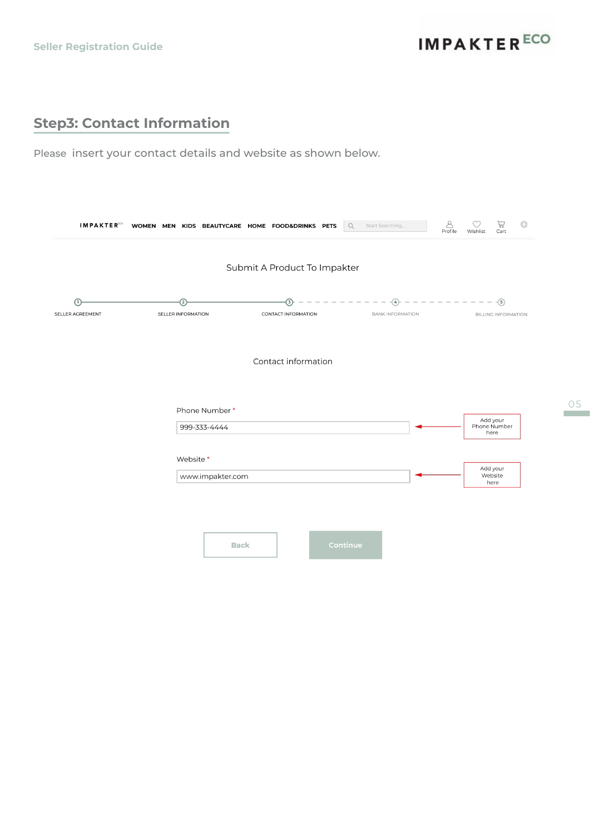**IMPAKTER<sup>ECO</sup>** 

## **Step3: Contact Information**

Please insert your contact details and website as shown below.

| <b>IMPAKTER</b>  | ♦<br>Ρ<br>ë<br>WOMEN MEN KIDS BEAUTYCARE HOME FOOD&DRINKS PETS<br>$\alpha$<br>Start Searching<br>Profile<br>Wishlist<br>Cart                                           |
|------------------|------------------------------------------------------------------------------------------------------------------------------------------------------------------------|
|                  | Submit A Product To Impakter                                                                                                                                           |
| SELLER AGREEMENT | $-\circled{s}$<br>$\sqrt{3}$<br>$\overline{2}$<br>$\overline{4}$<br>SELLER INFORMATION<br>CONTACT INFORMATION<br><b>BANK INFORMATION</b><br><b>BILLING INFORMATION</b> |
|                  | Contact information                                                                                                                                                    |
|                  | Phone Number*<br>Add your                                                                                                                                              |
|                  | Phone Number<br>999-333-4444<br>here                                                                                                                                   |
|                  | Website*<br>Add your<br>www.impakter.com<br>Website<br>here                                                                                                            |
|                  |                                                                                                                                                                        |
|                  | Continue<br><b>Back</b>                                                                                                                                                |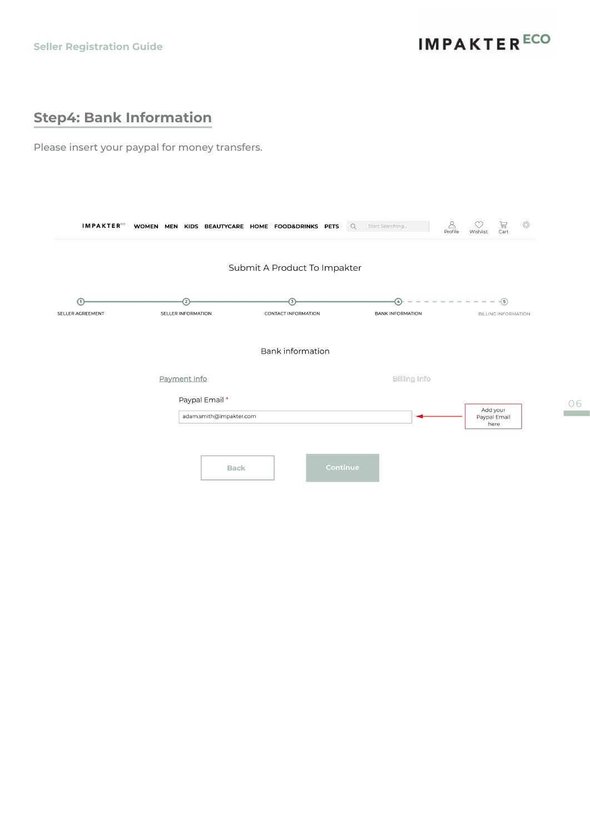**IMPAKTER<sup>ECO</sup>** 

## **Step4: Bank Information**

Please insert your paypal for money transfers.

| <b>IMPAKTER</b>  | WOMEN MEN KIDS BEAUTYCARE HOME FOOD&DRINKS PETS |                                         | Start Searching<br>$\mathsf Q$              | 8<br>۞<br>믛<br>Profile<br>Wishlist<br>Cart   |
|------------------|-------------------------------------------------|-----------------------------------------|---------------------------------------------|----------------------------------------------|
|                  |                                                 | Submit A Product To Impakter            |                                             |                                              |
| SELLER AGREEMENT | $\left( 2\right)$<br>SELLER INFORMATION         | $\left(3\right)$<br>CONTACT INFORMATION | $\left(4\right)$<br><b>BANK INFORMATION</b> | $-\circled{s}$<br><b>BILLING INFORMATION</b> |
|                  |                                                 | <b>Bank information</b>                 |                                             |                                              |
|                  | Payment Info                                    |                                         | Billing info                                |                                              |
|                  | Paypal Email *<br>adam.smith@impakter.com       |                                         |                                             | Add your<br>Paypal Email<br>here             |
|                  | <b>Back</b>                                     |                                         | Continue                                    |                                              |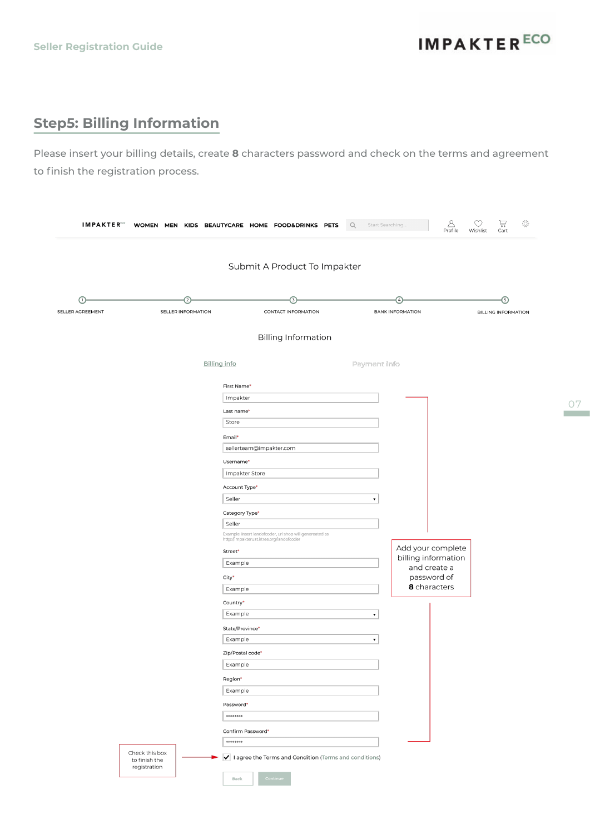**IMPAKTER<sup>ECO</sup>** 

07

## **Step5: Billing Information**

Please insert your billing details, create **8** characters password and check on the terms and agreement to finish the registration process.

|                  |                    | Submit A Product To Impakter                                                                         |                                     |                            |
|------------------|--------------------|------------------------------------------------------------------------------------------------------|-------------------------------------|----------------------------|
| ſ۱               | $^{(2)}$           | 3                                                                                                    | $\left(4\right)$                    | 6                          |
| SELLER AGREEMENT | SELLER INFORMATION | CONTACT INFORMATION                                                                                  | <b>BANK INFORMATION</b>             | <b>BILLING INFORMATION</b> |
|                  |                    | <b>Billing Information</b>                                                                           |                                     |                            |
|                  |                    |                                                                                                      |                                     |                            |
|                  |                    | <b>Billing info</b>                                                                                  | Payment info                        |                            |
|                  |                    | First Name*                                                                                          |                                     |                            |
|                  |                    | Impakter                                                                                             |                                     |                            |
|                  |                    | Last name*                                                                                           |                                     |                            |
|                  |                    | Store                                                                                                |                                     |                            |
|                  |                    | Email*                                                                                               |                                     |                            |
|                  |                    | sellerteam@impakter.com                                                                              |                                     |                            |
|                  |                    | Username*                                                                                            |                                     |                            |
|                  |                    | Impakter Store                                                                                       |                                     |                            |
|                  |                    | Account Type*                                                                                        |                                     |                            |
|                  |                    | Seller                                                                                               | $\blacktriangledown$                |                            |
|                  |                    | Category Type*                                                                                       |                                     |                            |
|                  |                    | Seller                                                                                               |                                     |                            |
|                  |                    | Example: insert landofcoder, url shop will genereated as<br>http://impakteruat.ktree.org/landofcoder |                                     |                            |
|                  |                    | Street*                                                                                              | Add your complete                   |                            |
|                  |                    | Example                                                                                              | billing information<br>and create a |                            |
|                  |                    | City*                                                                                                | password of                         |                            |
|                  |                    | Example                                                                                              | 8 characters                        |                            |
|                  |                    | Country*                                                                                             |                                     |                            |
|                  |                    | Example                                                                                              | $\pmb{\mathrm{v}}$                  |                            |
|                  |                    | State/Province*                                                                                      |                                     |                            |
|                  |                    | Example                                                                                              | $\pmb{\mathrm{v}}$                  |                            |
|                  |                    | Zip/Postal code*                                                                                     |                                     |                            |
|                  |                    | Example                                                                                              |                                     |                            |
|                  |                    | Region*                                                                                              |                                     |                            |
|                  |                    | Example                                                                                              |                                     |                            |
|                  |                    | Password*                                                                                            |                                     |                            |
|                  |                    | $******$                                                                                             |                                     |                            |
|                  |                    | Confirm Password*                                                                                    |                                     |                            |
|                  |                    | $******$                                                                                             |                                     |                            |
|                  | Check this box     | I agree the Terms and Condition (Terms and conditions)                                               |                                     |                            |